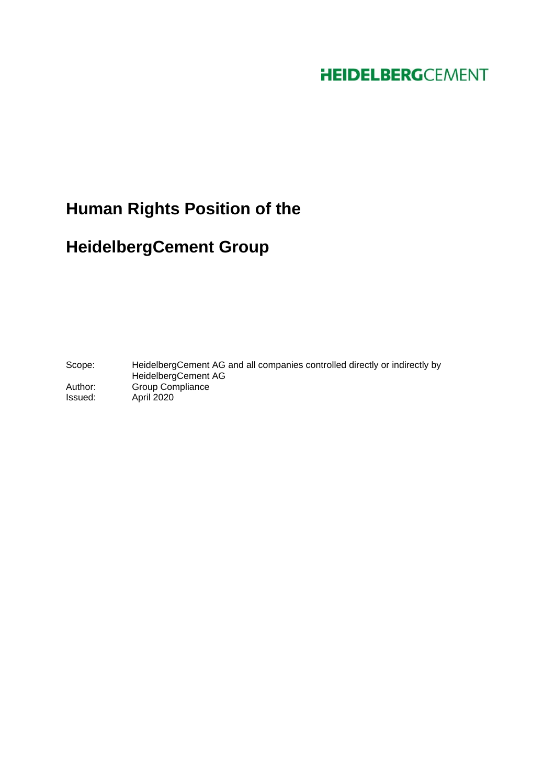## **HEIDELBERG**CEMENT

# **Human Rights Position of the**

## **HeidelbergCement Group**

Scope: HeidelbergCement AG and all companies controlled directly or indirectly by HeidelbergCement AG Author: Group Compliance Issued: April 2020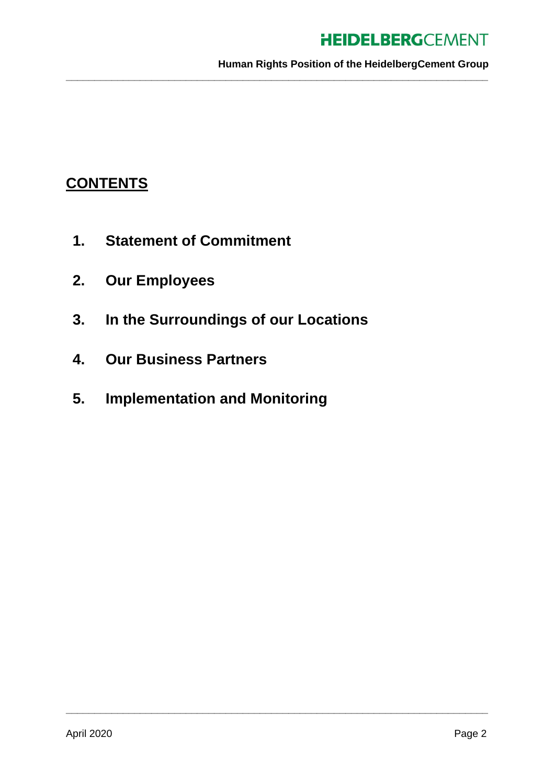## **HEIDELBERGCEMENT**

**Human Rights Position of the HeidelbergCement Group**

**\_\_\_\_\_\_\_\_\_\_\_\_\_\_\_\_\_\_\_\_\_\_\_\_\_\_\_\_\_\_\_\_\_\_\_\_\_\_\_\_\_\_\_\_\_\_\_\_\_\_\_\_\_\_\_\_\_\_\_\_\_\_\_\_\_\_\_\_\_\_\_\_\_\_**

**\_\_\_\_\_\_\_\_\_\_\_\_\_\_\_\_\_\_\_\_\_\_\_\_\_\_\_\_\_\_\_\_\_\_\_\_\_\_\_\_\_\_\_\_\_\_\_\_\_\_\_\_\_\_\_\_\_\_\_\_\_\_\_\_\_\_\_\_\_\_\_\_\_\_**

## **CONTENTS**

- **1. Statement of Commitment**
- **2. Our Employees**
- **3. In the Surroundings of our Locations**
- **4. Our Business Partners**
- **5. Implementation and Monitoring**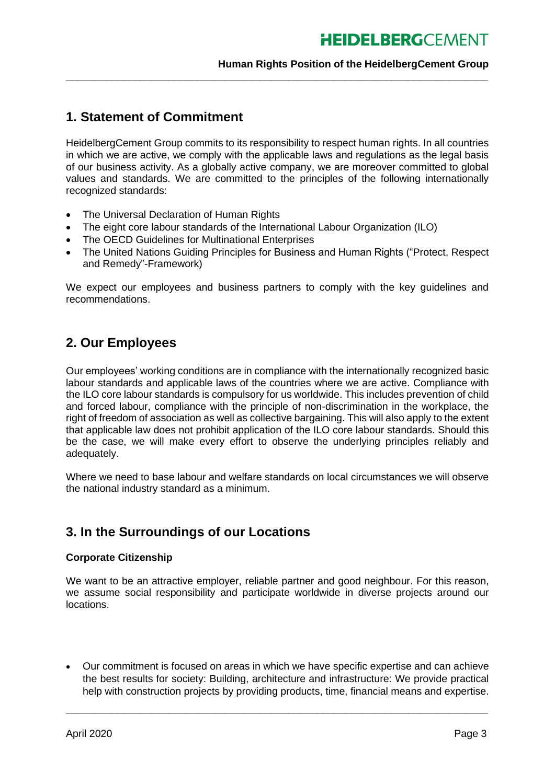### **Human Rights Position of the HeidelbergCement Group**

## **1. Statement of Commitment**

HeidelbergCement Group commits to its responsibility to respect human rights. In all countries in which we are active, we comply with the applicable laws and regulations as the legal basis of our business activity. As a globally active company, we are moreover committed to global values and standards. We are committed to the principles of the following internationally recognized standards:

**\_\_\_\_\_\_\_\_\_\_\_\_\_\_\_\_\_\_\_\_\_\_\_\_\_\_\_\_\_\_\_\_\_\_\_\_\_\_\_\_\_\_\_\_\_\_\_\_\_\_\_\_\_\_\_\_\_\_\_\_\_\_\_\_\_\_\_\_\_\_\_\_\_\_**

- The Universal Declaration of Human Rights
- The eight core labour standards of the International Labour Organization (ILO)
- The OECD Guidelines for Multinational Enterprises
- The United Nations Guiding Principles for Business and Human Rights ("Protect, Respect and Remedy"-Framework)

We expect our employees and business partners to comply with the key guidelines and recommendations.

## **2. Our Employees**

Our employees' working conditions are in compliance with the internationally recognized basic labour standards and applicable laws of the countries where we are active. Compliance with the ILO core labour standards is compulsory for us worldwide. This includes prevention of child and forced labour, compliance with the principle of non-discrimination in the workplace, the right of freedom of association as well as collective bargaining. This will also apply to the extent that applicable law does not prohibit application of the ILO core labour standards. Should this be the case, we will make every effort to observe the underlying principles reliably and adequately.

Where we need to base labour and welfare standards on local circumstances we will observe the national industry standard as a minimum.

## **3. In the Surroundings of our Locations**

#### **Corporate Citizenship**

We want to be an attractive employer, reliable partner and good neighbour. For this reason, we assume social responsibility and participate worldwide in diverse projects around our locations.

• Our commitment is focused on areas in which we have specific expertise and can achieve the best results for society: Building, architecture and infrastructure: We provide practical help with construction projects by providing products, time, financial means and expertise.

**\_\_\_\_\_\_\_\_\_\_\_\_\_\_\_\_\_\_\_\_\_\_\_\_\_\_\_\_\_\_\_\_\_\_\_\_\_\_\_\_\_\_\_\_\_\_\_\_\_\_\_\_\_\_\_\_\_\_\_\_\_\_\_\_\_\_\_\_\_\_\_\_\_\_**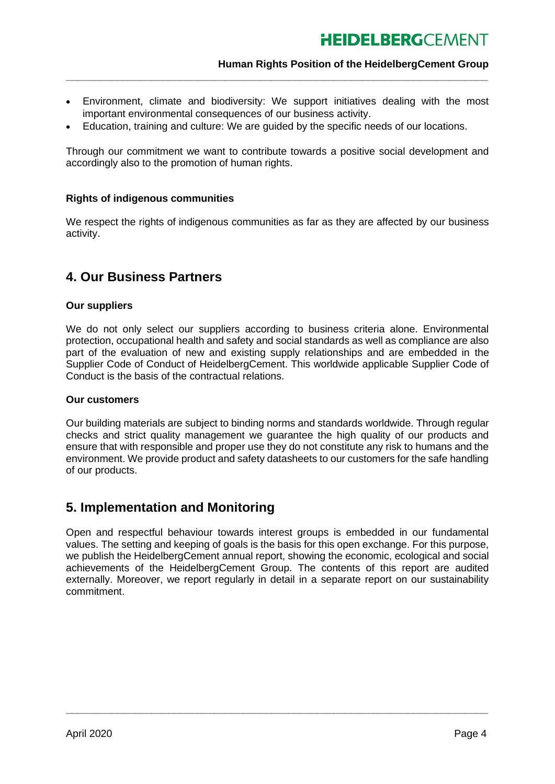### **Human Rights Position of the HeidelbergCement Group**

• Environment, climate and biodiversity: We support initiatives dealing with the most important environmental consequences of our business activity.

**\_\_\_\_\_\_\_\_\_\_\_\_\_\_\_\_\_\_\_\_\_\_\_\_\_\_\_\_\_\_\_\_\_\_\_\_\_\_\_\_\_\_\_\_\_\_\_\_\_\_\_\_\_\_\_\_\_\_\_\_\_\_\_\_\_\_\_\_\_\_\_\_\_\_**

• Education, training and culture: We are guided by the specific needs of our locations.

Through our commitment we want to contribute towards a positive social development and accordingly also to the promotion of human rights.

### **Rights of indigenous communities**

We respect the rights of indigenous communities as far as they are affected by our business activity.

## **4. Our Business Partners**

### **Our suppliers**

We do not only select our suppliers according to business criteria alone. Environmental protection, occupational health and safety and social standards as well as compliance are also part of the evaluation of new and existing supply relationships and are embedded in the Supplier Code of Conduct of HeidelbergCement. This worldwide applicable Supplier Code of Conduct is the basis of the contractual relations.

#### **Our customers**

Our building materials are subject to binding norms and standards worldwide. Through regular checks and strict quality management we guarantee the high quality of our products and ensure that with responsible and proper use they do not constitute any risk to humans and the environment. We provide product and safety datasheets to our customers for the safe handling of our products.

## **5. Implementation and Monitoring**

Open and respectful behaviour towards interest groups is embedded in our fundamental values. The setting and keeping of goals is the basis for this open exchange. For this purpose, we publish the HeidelbergCement annual report, showing the economic, ecological and social achievements of the HeidelbergCement Group. The contents of this report are audited externally. Moreover, we report regularly in detail in a separate report on our sustainability commitment.

**\_\_\_\_\_\_\_\_\_\_\_\_\_\_\_\_\_\_\_\_\_\_\_\_\_\_\_\_\_\_\_\_\_\_\_\_\_\_\_\_\_\_\_\_\_\_\_\_\_\_\_\_\_\_\_\_\_\_\_\_\_\_\_\_\_\_\_\_\_\_\_\_\_\_**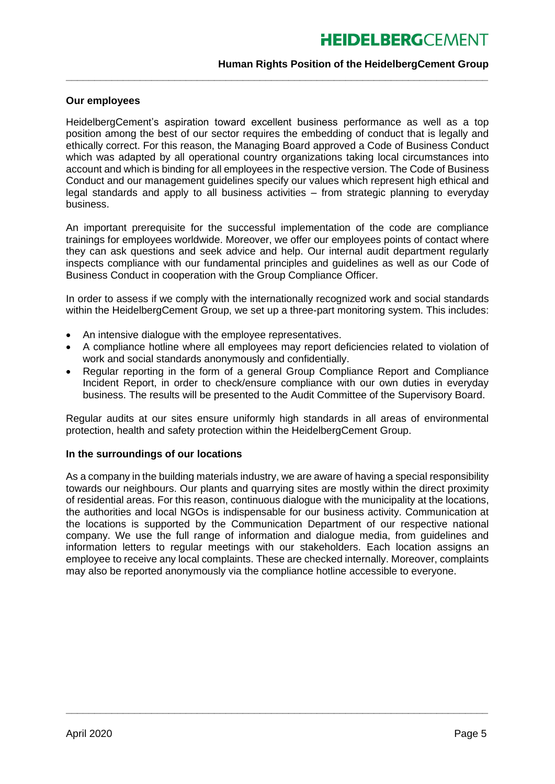## **HEIDELBERGCFMENT**

### **Human Rights Position of the HeidelbergCement Group**

### **Our employees**

HeidelbergCement's aspiration toward excellent business performance as well as a top position among the best of our sector requires the embedding of conduct that is legally and ethically correct. For this reason, the Managing Board approved a Code of Business Conduct which was adapted by all operational country organizations taking local circumstances into account and which is binding for all employees in the respective version. The Code of Business Conduct and our management guidelines specify our values which represent high ethical and legal standards and apply to all business activities – from strategic planning to everyday business.

**\_\_\_\_\_\_\_\_\_\_\_\_\_\_\_\_\_\_\_\_\_\_\_\_\_\_\_\_\_\_\_\_\_\_\_\_\_\_\_\_\_\_\_\_\_\_\_\_\_\_\_\_\_\_\_\_\_\_\_\_\_\_\_\_\_\_\_\_\_\_\_\_\_\_**

An important prerequisite for the successful implementation of the code are compliance trainings for employees worldwide. Moreover, we offer our employees points of contact where they can ask questions and seek advice and help. Our internal audit department regularly inspects compliance with our fundamental principles and guidelines as well as our Code of Business Conduct in cooperation with the Group Compliance Officer.

In order to assess if we comply with the internationally recognized work and social standards within the HeidelbergCement Group, we set up a three-part monitoring system. This includes:

- An intensive dialogue with the employee representatives.
- A compliance hotline where all employees may report deficiencies related to violation of work and social standards anonymously and confidentially.
- Regular reporting in the form of a general Group Compliance Report and Compliance Incident Report, in order to check/ensure compliance with our own duties in everyday business. The results will be presented to the Audit Committee of the Supervisory Board.

Regular audits at our sites ensure uniformly high standards in all areas of environmental protection, health and safety protection within the HeidelbergCement Group.

#### **In the surroundings of our locations**

As a company in the building materials industry, we are aware of having a special responsibility towards our neighbours. Our plants and quarrying sites are mostly within the direct proximity of residential areas. For this reason, continuous dialogue with the municipality at the locations, the authorities and local NGOs is indispensable for our business activity. Communication at the locations is supported by the Communication Department of our respective national company. We use the full range of information and dialogue media, from guidelines and information letters to regular meetings with our stakeholders. Each location assigns an employee to receive any local complaints. These are checked internally. Moreover, complaints may also be reported anonymously via the compliance hotline accessible to everyone.

**\_\_\_\_\_\_\_\_\_\_\_\_\_\_\_\_\_\_\_\_\_\_\_\_\_\_\_\_\_\_\_\_\_\_\_\_\_\_\_\_\_\_\_\_\_\_\_\_\_\_\_\_\_\_\_\_\_\_\_\_\_\_\_\_\_\_\_\_\_\_\_\_\_\_**